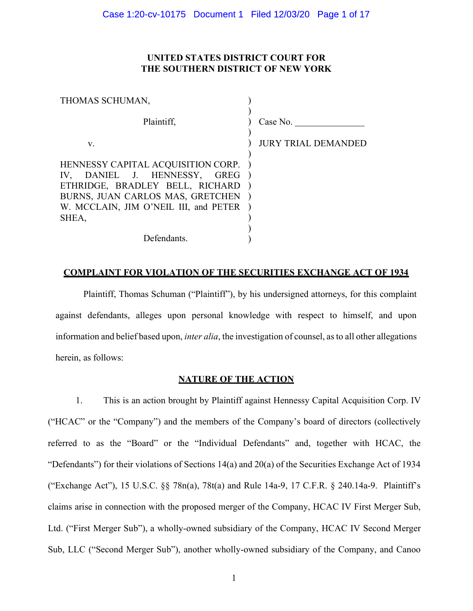## UNITED STATES DISTRICT COURT FOR THE SOUTHERN DISTRICT OF NEW YORK

| THOMAS SCHUMAN,                                                                                                                                                                    |                            |
|------------------------------------------------------------------------------------------------------------------------------------------------------------------------------------|----------------------------|
| Plaintiff,                                                                                                                                                                         | Case No.                   |
| V.                                                                                                                                                                                 | <b>JURY TRIAL DEMANDED</b> |
| HENNESSY CAPITAL ACQUISITION CORP.<br>IV, DANIEL J. HENNESSY, GREG<br>ETHRIDGE, BRADLEY BELL, RICHARD<br>BURNS, JUAN CARLOS MAS, GRETCHEN<br>W. MCCLAIN, JIM O'NEIL III, and PETER |                            |
| SHEA,                                                                                                                                                                              |                            |
| Defendants.                                                                                                                                                                        |                            |

## COMPLAINT FOR VIOLATION OF THE SECURITIES EXCHANGE ACT OF 1934

Plaintiff, Thomas Schuman ("Plaintiff"), by his undersigned attorneys, for this complaint against defendants, alleges upon personal knowledge with respect to himself, and upon information and belief based upon, inter alia, the investigation of counsel, as to all other allegations herein, as follows:

### NATURE OF THE ACTION

1. This is an action brought by Plaintiff against Hennessy Capital Acquisition Corp. IV ("HCAC" or the "Company") and the members of the Company's board of directors (collectively referred to as the "Board" or the "Individual Defendants" and, together with HCAC, the "Defendants") for their violations of Sections 14(a) and 20(a) of the Securities Exchange Act of 1934 ("Exchange Act"), 15 U.S.C. §§ 78n(a), 78t(a) and Rule 14a-9, 17 C.F.R. § 240.14a-9. Plaintiff's claims arise in connection with the proposed merger of the Company, HCAC IV First Merger Sub, Ltd. ("First Merger Sub"), a wholly-owned subsidiary of the Company, HCAC IV Second Merger Sub, LLC ("Second Merger Sub"), another wholly-owned subsidiary of the Company, and Canoo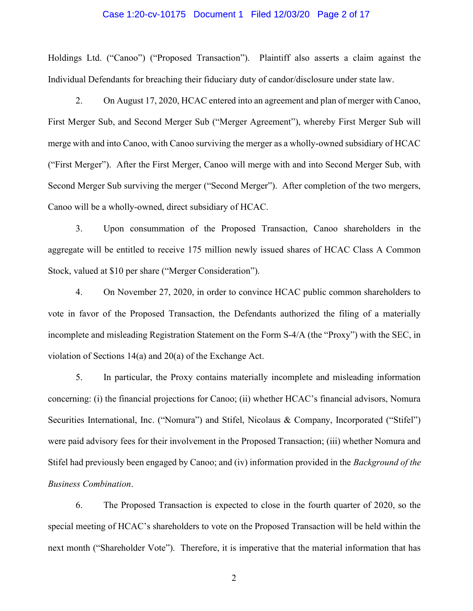#### Case 1:20-cv-10175 Document 1 Filed 12/03/20 Page 2 of 17

Holdings Ltd. ("Canoo") ("Proposed Transaction"). Plaintiff also asserts a claim against the Individual Defendants for breaching their fiduciary duty of candor/disclosure under state law.

2. On August 17, 2020, HCAC entered into an agreement and plan of merger with Canoo, First Merger Sub, and Second Merger Sub ("Merger Agreement"), whereby First Merger Sub will merge with and into Canoo, with Canoo surviving the merger as a wholly-owned subsidiary of HCAC ("First Merger"). After the First Merger, Canoo will merge with and into Second Merger Sub, with Second Merger Sub surviving the merger ("Second Merger"). After completion of the two mergers, Canoo will be a wholly-owned, direct subsidiary of HCAC.

3. Upon consummation of the Proposed Transaction, Canoo shareholders in the aggregate will be entitled to receive 175 million newly issued shares of HCAC Class A Common Stock, valued at \$10 per share ("Merger Consideration").

4. On November 27, 2020, in order to convince HCAC public common shareholders to vote in favor of the Proposed Transaction, the Defendants authorized the filing of a materially incomplete and misleading Registration Statement on the Form S-4/A (the "Proxy") with the SEC, in violation of Sections 14(a) and 20(a) of the Exchange Act.

5. In particular, the Proxy contains materially incomplete and misleading information concerning: (i) the financial projections for Canoo; (ii) whether HCAC's financial advisors, Nomura Securities International, Inc. ("Nomura") and Stifel, Nicolaus & Company, Incorporated ("Stifel") were paid advisory fees for their involvement in the Proposed Transaction; (iii) whether Nomura and Stifel had previously been engaged by Canoo; and (iv) information provided in the Background of the Business Combination.

6. The Proposed Transaction is expected to close in the fourth quarter of 2020, so the special meeting of HCAC's shareholders to vote on the Proposed Transaction will be held within the next month ("Shareholder Vote"). Therefore, it is imperative that the material information that has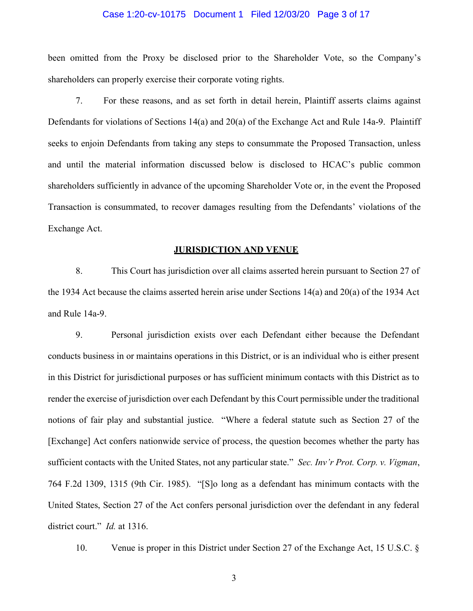### Case 1:20-cv-10175 Document 1 Filed 12/03/20 Page 3 of 17

been omitted from the Proxy be disclosed prior to the Shareholder Vote, so the Company's shareholders can properly exercise their corporate voting rights.

7. For these reasons, and as set forth in detail herein, Plaintiff asserts claims against Defendants for violations of Sections 14(a) and 20(a) of the Exchange Act and Rule 14a-9. Plaintiff seeks to enjoin Defendants from taking any steps to consummate the Proposed Transaction, unless and until the material information discussed below is disclosed to HCAC's public common shareholders sufficiently in advance of the upcoming Shareholder Vote or, in the event the Proposed Transaction is consummated, to recover damages resulting from the Defendants' violations of the Exchange Act.

#### JURISDICTION AND VENUE

8. This Court has jurisdiction over all claims asserted herein pursuant to Section 27 of the 1934 Act because the claims asserted herein arise under Sections 14(a) and 20(a) of the 1934 Act and Rule 14a-9.

9. Personal jurisdiction exists over each Defendant either because the Defendant conducts business in or maintains operations in this District, or is an individual who is either present in this District for jurisdictional purposes or has sufficient minimum contacts with this District as to render the exercise of jurisdiction over each Defendant by this Court permissible under the traditional notions of fair play and substantial justice. "Where a federal statute such as Section 27 of the [Exchange] Act confers nationwide service of process, the question becomes whether the party has sufficient contacts with the United States, not any particular state." Sec. Inv'r Prot. Corp. v. Vigman, 764 F.2d 1309, 1315 (9th Cir. 1985). "[S]o long as a defendant has minimum contacts with the United States, Section 27 of the Act confers personal jurisdiction over the defendant in any federal district court." *Id.* at 1316.

10. Venue is proper in this District under Section 27 of the Exchange Act, 15 U.S.C. §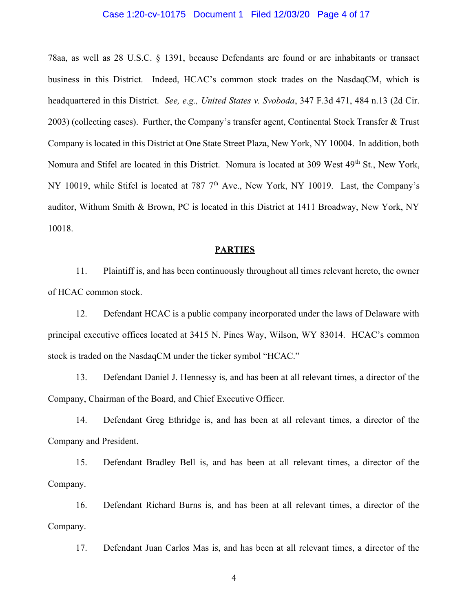### Case 1:20-cv-10175 Document 1 Filed 12/03/20 Page 4 of 17

78aa, as well as 28 U.S.C. § 1391, because Defendants are found or are inhabitants or transact business in this District. Indeed, HCAC's common stock trades on the NasdaqCM, which is headquartered in this District. See, e.g., United States v. Svoboda, 347 F.3d 471, 484 n.13 (2d Cir. 2003) (collecting cases). Further, the Company's transfer agent, Continental Stock Transfer & Trust Company is located in this District at One State Street Plaza, New York, NY 10004. In addition, both Nomura and Stifel are located in this District. Nomura is located at 309 West 49<sup>th</sup> St., New York, NY 10019, while Stifel is located at 787 7<sup>th</sup> Ave., New York, NY 10019. Last, the Company's auditor, Withum Smith & Brown, PC is located in this District at 1411 Broadway, New York, NY 10018.

### **PARTIES**

11. Plaintiff is, and has been continuously throughout all times relevant hereto, the owner of HCAC common stock.

12. Defendant HCAC is a public company incorporated under the laws of Delaware with principal executive offices located at 3415 N. Pines Way, Wilson, WY 83014. HCAC's common stock is traded on the NasdaqCM under the ticker symbol "HCAC."

13. Defendant Daniel J. Hennessy is, and has been at all relevant times, a director of the Company, Chairman of the Board, and Chief Executive Officer.

14. Defendant Greg Ethridge is, and has been at all relevant times, a director of the Company and President.

15. Defendant Bradley Bell is, and has been at all relevant times, a director of the Company.

16. Defendant Richard Burns is, and has been at all relevant times, a director of the Company.

17. Defendant Juan Carlos Mas is, and has been at all relevant times, a director of the

4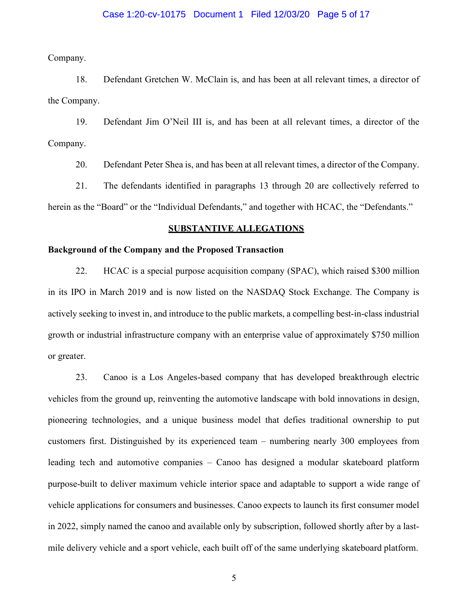### Case 1:20-cv-10175 Document 1 Filed 12/03/20 Page 5 of 17

Company.

18. Defendant Gretchen W. McClain is, and has been at all relevant times, a director of the Company.

19. Defendant Jim O'Neil III is, and has been at all relevant times, a director of the Company.

20. Defendant Peter Shea is, and has been at all relevant times, a director of the Company.

21. The defendants identified in paragraphs 13 through 20 are collectively referred to herein as the "Board" or the "Individual Defendants," and together with HCAC, the "Defendants."

### SUBSTANTIVE ALLEGATIONS

### Background of the Company and the Proposed Transaction

22. HCAC is a special purpose acquisition company (SPAC), which raised \$300 million in its IPO in March 2019 and is now listed on the NASDAQ Stock Exchange. The Company is actively seeking to invest in, and introduce to the public markets, a compelling best-in-class industrial growth or industrial infrastructure company with an enterprise value of approximately \$750 million or greater.

23. Canoo is a Los Angeles-based company that has developed breakthrough electric vehicles from the ground up, reinventing the automotive landscape with bold innovations in design, pioneering technologies, and a unique business model that defies traditional ownership to put customers first. Distinguished by its experienced team – numbering nearly 300 employees from leading tech and automotive companies – Canoo has designed a modular skateboard platform purpose-built to deliver maximum vehicle interior space and adaptable to support a wide range of vehicle applications for consumers and businesses. Canoo expects to launch its first consumer model in 2022, simply named the canoo and available only by subscription, followed shortly after by a lastmile delivery vehicle and a sport vehicle, each built off of the same underlying skateboard platform.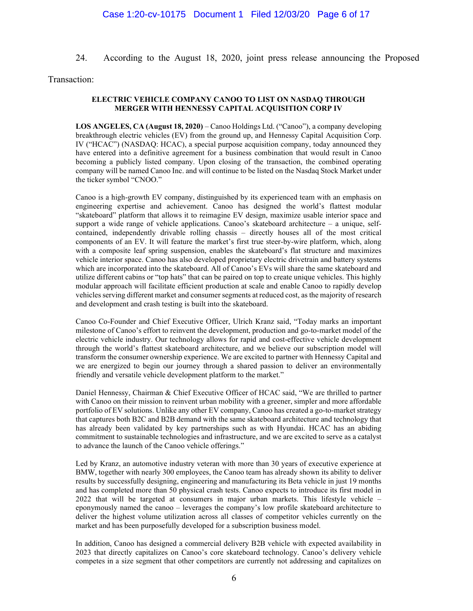24. According to the August 18, 2020, joint press release announcing the Proposed

Transaction:

#### ELECTRIC VEHICLE COMPANY CANOO TO LIST ON NASDAQ THROUGH MERGER WITH HENNESSY CAPITAL ACQUISITION CORP IV

LOS ANGELES, CA (August 18, 2020) – Canoo Holdings Ltd. ("Canoo"), a company developing breakthrough electric vehicles (EV) from the ground up, and Hennessy Capital Acquisition Corp. IV ("HCAC") (NASDAQ: HCAC), a special purpose acquisition company, today announced they have entered into a definitive agreement for a business combination that would result in Canoo becoming a publicly listed company. Upon closing of the transaction, the combined operating company will be named Canoo Inc. and will continue to be listed on the Nasdaq Stock Market under the ticker symbol "CNOO."

Canoo is a high-growth EV company, distinguished by its experienced team with an emphasis on engineering expertise and achievement. Canoo has designed the world's flattest modular "skateboard" platform that allows it to reimagine EV design, maximize usable interior space and support a wide range of vehicle applications. Canoo's skateboard architecture – a unique, selfcontained, independently drivable rolling chassis – directly houses all of the most critical components of an EV. It will feature the market's first true steer-by-wire platform, which, along with a composite leaf spring suspension, enables the skateboard's flat structure and maximizes vehicle interior space. Canoo has also developed proprietary electric drivetrain and battery systems which are incorporated into the skateboard. All of Canoo's EVs will share the same skateboard and utilize different cabins or "top hats" that can be paired on top to create unique vehicles. This highly modular approach will facilitate efficient production at scale and enable Canoo to rapidly develop vehicles serving different market and consumer segments at reduced cost, as the majority of research and development and crash testing is built into the skateboard.

Canoo Co-Founder and Chief Executive Officer, Ulrich Kranz said, "Today marks an important milestone of Canoo's effort to reinvent the development, production and go-to-market model of the electric vehicle industry. Our technology allows for rapid and cost-effective vehicle development through the world's flattest skateboard architecture, and we believe our subscription model will transform the consumer ownership experience. We are excited to partner with Hennessy Capital and we are energized to begin our journey through a shared passion to deliver an environmentally friendly and versatile vehicle development platform to the market."

Daniel Hennessy, Chairman & Chief Executive Officer of HCAC said, "We are thrilled to partner with Canoo on their mission to reinvent urban mobility with a greener, simpler and more affordable portfolio of EV solutions. Unlike any other EV company, Canoo has created a go-to-market strategy that captures both B2C and B2B demand with the same skateboard architecture and technology that has already been validated by key partnerships such as with Hyundai. HCAC has an abiding commitment to sustainable technologies and infrastructure, and we are excited to serve as a catalyst to advance the launch of the Canoo vehicle offerings."

Led by Kranz, an automotive industry veteran with more than 30 years of executive experience at BMW, together with nearly 300 employees, the Canoo team has already shown its ability to deliver results by successfully designing, engineering and manufacturing its Beta vehicle in just 19 months and has completed more than 50 physical crash tests. Canoo expects to introduce its first model in 2022 that will be targeted at consumers in major urban markets. This lifestyle vehicle – eponymously named the canoo – leverages the company's low profile skateboard architecture to deliver the highest volume utilization across all classes of competitor vehicles currently on the market and has been purposefully developed for a subscription business model.

In addition, Canoo has designed a commercial delivery B2B vehicle with expected availability in 2023 that directly capitalizes on Canoo's core skateboard technology. Canoo's delivery vehicle competes in a size segment that other competitors are currently not addressing and capitalizes on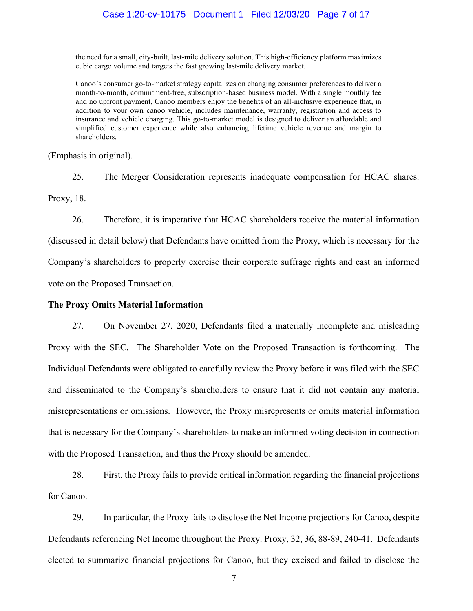the need for a small, city-built, last-mile delivery solution. This high-efficiency platform maximizes cubic cargo volume and targets the fast growing last-mile delivery market.

Canoo's consumer go-to-market strategy capitalizes on changing consumer preferences to deliver a month-to-month, commitment-free, subscription-based business model. With a single monthly fee and no upfront payment, Canoo members enjoy the benefits of an all-inclusive experience that, in addition to your own canoo vehicle, includes maintenance, warranty, registration and access to insurance and vehicle charging. This go-to-market model is designed to deliver an affordable and simplified customer experience while also enhancing lifetime vehicle revenue and margin to shareholders.

(Emphasis in original).

25. The Merger Consideration represents inadequate compensation for HCAC shares. Proxy, 18.

26. Therefore, it is imperative that HCAC shareholders receive the material information (discussed in detail below) that Defendants have omitted from the Proxy, which is necessary for the Company's shareholders to properly exercise their corporate suffrage rights and cast an informed vote on the Proposed Transaction.

### The Proxy Omits Material Information

27. On November 27, 2020, Defendants filed a materially incomplete and misleading Proxy with the SEC. The Shareholder Vote on the Proposed Transaction is forthcoming. The Individual Defendants were obligated to carefully review the Proxy before it was filed with the SEC and disseminated to the Company's shareholders to ensure that it did not contain any material misrepresentations or omissions. However, the Proxy misrepresents or omits material information that is necessary for the Company's shareholders to make an informed voting decision in connection with the Proposed Transaction, and thus the Proxy should be amended.

28. First, the Proxy fails to provide critical information regarding the financial projections for Canoo.

29. In particular, the Proxy fails to disclose the Net Income projections for Canoo, despite Defendants referencing Net Income throughout the Proxy. Proxy, 32, 36, 88-89, 240-41. Defendants elected to summarize financial projections for Canoo, but they excised and failed to disclose the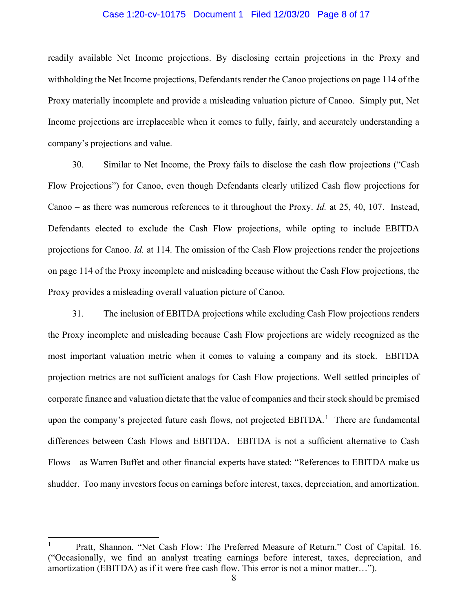### Case 1:20-cv-10175 Document 1 Filed 12/03/20 Page 8 of 17

readily available Net Income projections. By disclosing certain projections in the Proxy and withholding the Net Income projections, Defendants render the Canoo projections on page 114 of the Proxy materially incomplete and provide a misleading valuation picture of Canoo. Simply put, Net Income projections are irreplaceable when it comes to fully, fairly, and accurately understanding a company's projections and value.

30. Similar to Net Income, the Proxy fails to disclose the cash flow projections ("Cash Flow Projections") for Canoo, even though Defendants clearly utilized Cash flow projections for Canoo – as there was numerous references to it throughout the Proxy. Id. at 25, 40, 107. Instead, Defendants elected to exclude the Cash Flow projections, while opting to include EBITDA projections for Canoo. Id. at 114. The omission of the Cash Flow projections render the projections on page 114 of the Proxy incomplete and misleading because without the Cash Flow projections, the Proxy provides a misleading overall valuation picture of Canoo.

31. The inclusion of EBITDA projections while excluding Cash Flow projections renders the Proxy incomplete and misleading because Cash Flow projections are widely recognized as the most important valuation metric when it comes to valuing a company and its stock. EBITDA projection metrics are not sufficient analogs for Cash Flow projections. Well settled principles of corporate finance and valuation dictate that the value of companies and their stock should be premised upon the company's projected future cash flows, not projected EBITDA.<sup>1</sup> There are fundamental differences between Cash Flows and EBITDA. EBITDA is not a sufficient alternative to Cash Flows—as Warren Buffet and other financial experts have stated: "References to EBITDA make us shudder. Too many investors focus on earnings before interest, taxes, depreciation, and amortization.

<sup>&</sup>lt;sup>1</sup> Pratt, Shannon. "Net Cash Flow: The Preferred Measure of Return." Cost of Capital. 16. ("Occasionally, we find an analyst treating earnings before interest, taxes, depreciation, and amortization (EBITDA) as if it were free cash flow. This error is not a minor matter…").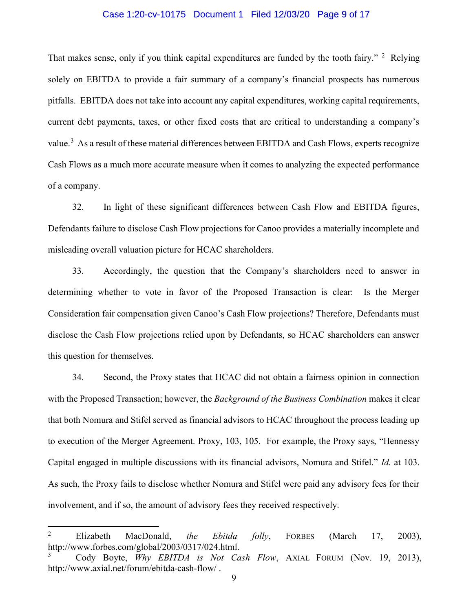### Case 1:20-cv-10175 Document 1 Filed 12/03/20 Page 9 of 17

That makes sense, only if you think capital expenditures are funded by the tooth fairy."  $2$  Relying solely on EBITDA to provide a fair summary of a company's financial prospects has numerous pitfalls. EBITDA does not take into account any capital expenditures, working capital requirements, current debt payments, taxes, or other fixed costs that are critical to understanding a company's value.<sup>3</sup> As a result of these material differences between EBITDA and Cash Flows, experts recognize Cash Flows as a much more accurate measure when it comes to analyzing the expected performance of a company.

32. In light of these significant differences between Cash Flow and EBITDA figures, Defendants failure to disclose Cash Flow projections for Canoo provides a materially incomplete and misleading overall valuation picture for HCAC shareholders.

33. Accordingly, the question that the Company's shareholders need to answer in determining whether to vote in favor of the Proposed Transaction is clear: Is the Merger Consideration fair compensation given Canoo's Cash Flow projections? Therefore, Defendants must disclose the Cash Flow projections relied upon by Defendants, so HCAC shareholders can answer this question for themselves.

34. Second, the Proxy states that HCAC did not obtain a fairness opinion in connection with the Proposed Transaction; however, the Background of the Business Combination makes it clear that both Nomura and Stifel served as financial advisors to HCAC throughout the process leading up to execution of the Merger Agreement. Proxy, 103, 105. For example, the Proxy says, "Hennessy Capital engaged in multiple discussions with its financial advisors, Nomura and Stifel." Id. at 103. As such, the Proxy fails to disclose whether Nomura and Stifel were paid any advisory fees for their involvement, and if so, the amount of advisory fees they received respectively.

<sup>&</sup>lt;sup>2</sup> Elizabeth MacDonald, *the Ebitda folly*, FORBES (March 17, 2003), http://www.forbes.com/global/2003/0317/024.html.

Cody Boyte, Why EBITDA is Not Cash Flow, AXIAL FORUM (Nov. 19, 2013), http://www.axial.net/forum/ebitda-cash-flow/ .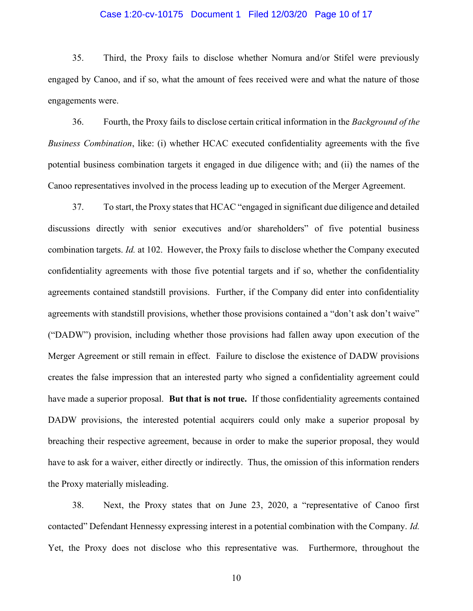### Case 1:20-cv-10175 Document 1 Filed 12/03/20 Page 10 of 17

35. Third, the Proxy fails to disclose whether Nomura and/or Stifel were previously engaged by Canoo, and if so, what the amount of fees received were and what the nature of those engagements were.

36. Fourth, the Proxy fails to disclose certain critical information in the Background of the Business Combination, like: (i) whether HCAC executed confidentiality agreements with the five potential business combination targets it engaged in due diligence with; and (ii) the names of the Canoo representatives involved in the process leading up to execution of the Merger Agreement.

37. To start, the Proxy states that HCAC "engaged in significant due diligence and detailed discussions directly with senior executives and/or shareholders" of five potential business combination targets. Id. at 102. However, the Proxy fails to disclose whether the Company executed confidentiality agreements with those five potential targets and if so, whether the confidentiality agreements contained standstill provisions. Further, if the Company did enter into confidentiality agreements with standstill provisions, whether those provisions contained a "don't ask don't waive" ("DADW") provision, including whether those provisions had fallen away upon execution of the Merger Agreement or still remain in effect. Failure to disclose the existence of DADW provisions creates the false impression that an interested party who signed a confidentiality agreement could have made a superior proposal. But that is not true. If those confidentiality agreements contained DADW provisions, the interested potential acquirers could only make a superior proposal by breaching their respective agreement, because in order to make the superior proposal, they would have to ask for a waiver, either directly or indirectly. Thus, the omission of this information renders the Proxy materially misleading.

38. Next, the Proxy states that on June 23, 2020, a "representative of Canoo first contacted" Defendant Hennessy expressing interest in a potential combination with the Company. Id. Yet, the Proxy does not disclose who this representative was. Furthermore, throughout the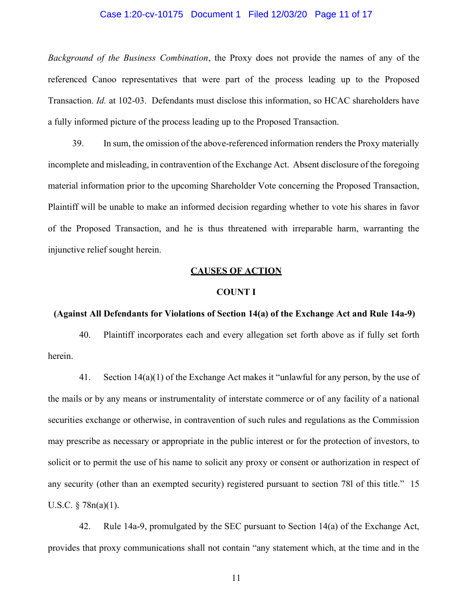### Case 1:20-cv-10175 Document 1 Filed 12/03/20 Page 11 of 17

Background of the Business Combination, the Proxy does not provide the names of any of the referenced Canoo representatives that were part of the process leading up to the Proposed Transaction. Id. at 102-03. Defendants must disclose this information, so HCAC shareholders have a fully informed picture of the process leading up to the Proposed Transaction.

39. In sum, the omission of the above-referenced information renders the Proxy materially incomplete and misleading, in contravention of the Exchange Act. Absent disclosure of the foregoing material information prior to the upcoming Shareholder Vote concerning the Proposed Transaction, Plaintiff will be unable to make an informed decision regarding whether to vote his shares in favor of the Proposed Transaction, and he is thus threatened with irreparable harm, warranting the injunctive relief sought herein.

## CAUSES OF ACTION

### COUNT I

### (Against All Defendants for Violations of Section 14(a) of the Exchange Act and Rule 14a-9)

40. Plaintiff incorporates each and every allegation set forth above as if fully set forth herein.

41. Section 14(a)(1) of the Exchange Act makes it "unlawful for any person, by the use of the mails or by any means or instrumentality of interstate commerce or of any facility of a national securities exchange or otherwise, in contravention of such rules and regulations as the Commission may prescribe as necessary or appropriate in the public interest or for the protection of investors, to solicit or to permit the use of his name to solicit any proxy or consent or authorization in respect of any security (other than an exempted security) registered pursuant to section 78l of this title." 15 U.S.C. § 78n(a)(1).

42. Rule 14a-9, promulgated by the SEC pursuant to Section 14(a) of the Exchange Act, provides that proxy communications shall not contain "any statement which, at the time and in the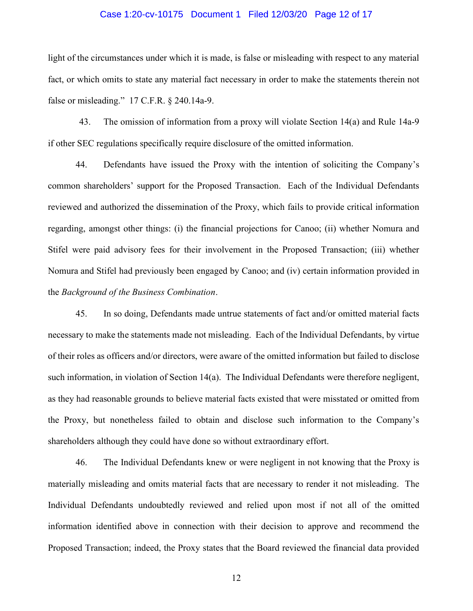### Case 1:20-cv-10175 Document 1 Filed 12/03/20 Page 12 of 17

light of the circumstances under which it is made, is false or misleading with respect to any material fact, or which omits to state any material fact necessary in order to make the statements therein not false or misleading." 17 C.F.R. § 240.14a-9.

43. The omission of information from a proxy will violate Section 14(a) and Rule 14a-9 if other SEC regulations specifically require disclosure of the omitted information.

44. Defendants have issued the Proxy with the intention of soliciting the Company's common shareholders' support for the Proposed Transaction. Each of the Individual Defendants reviewed and authorized the dissemination of the Proxy, which fails to provide critical information regarding, amongst other things: (i) the financial projections for Canoo; (ii) whether Nomura and Stifel were paid advisory fees for their involvement in the Proposed Transaction; (iii) whether Nomura and Stifel had previously been engaged by Canoo; and (iv) certain information provided in the Background of the Business Combination.

45. In so doing, Defendants made untrue statements of fact and/or omitted material facts necessary to make the statements made not misleading. Each of the Individual Defendants, by virtue of their roles as officers and/or directors, were aware of the omitted information but failed to disclose such information, in violation of Section 14(a). The Individual Defendants were therefore negligent, as they had reasonable grounds to believe material facts existed that were misstated or omitted from the Proxy, but nonetheless failed to obtain and disclose such information to the Company's shareholders although they could have done so without extraordinary effort.

46. The Individual Defendants knew or were negligent in not knowing that the Proxy is materially misleading and omits material facts that are necessary to render it not misleading. The Individual Defendants undoubtedly reviewed and relied upon most if not all of the omitted information identified above in connection with their decision to approve and recommend the Proposed Transaction; indeed, the Proxy states that the Board reviewed the financial data provided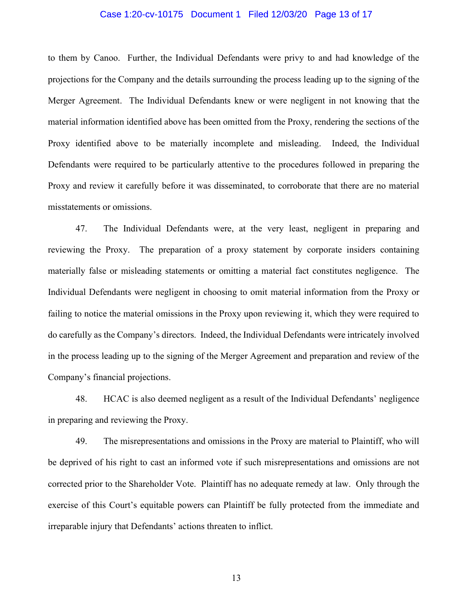### Case 1:20-cv-10175 Document 1 Filed 12/03/20 Page 13 of 17

to them by Canoo. Further, the Individual Defendants were privy to and had knowledge of the projections for the Company and the details surrounding the process leading up to the signing of the Merger Agreement. The Individual Defendants knew or were negligent in not knowing that the material information identified above has been omitted from the Proxy, rendering the sections of the Proxy identified above to be materially incomplete and misleading. Indeed, the Individual Defendants were required to be particularly attentive to the procedures followed in preparing the Proxy and review it carefully before it was disseminated, to corroborate that there are no material misstatements or omissions.

47. The Individual Defendants were, at the very least, negligent in preparing and reviewing the Proxy. The preparation of a proxy statement by corporate insiders containing materially false or misleading statements or omitting a material fact constitutes negligence. The Individual Defendants were negligent in choosing to omit material information from the Proxy or failing to notice the material omissions in the Proxy upon reviewing it, which they were required to do carefully as the Company's directors. Indeed, the Individual Defendants were intricately involved in the process leading up to the signing of the Merger Agreement and preparation and review of the Company's financial projections.

48. HCAC is also deemed negligent as a result of the Individual Defendants' negligence in preparing and reviewing the Proxy.

49. The misrepresentations and omissions in the Proxy are material to Plaintiff, who will be deprived of his right to cast an informed vote if such misrepresentations and omissions are not corrected prior to the Shareholder Vote. Plaintiff has no adequate remedy at law. Only through the exercise of this Court's equitable powers can Plaintiff be fully protected from the immediate and irreparable injury that Defendants' actions threaten to inflict.

13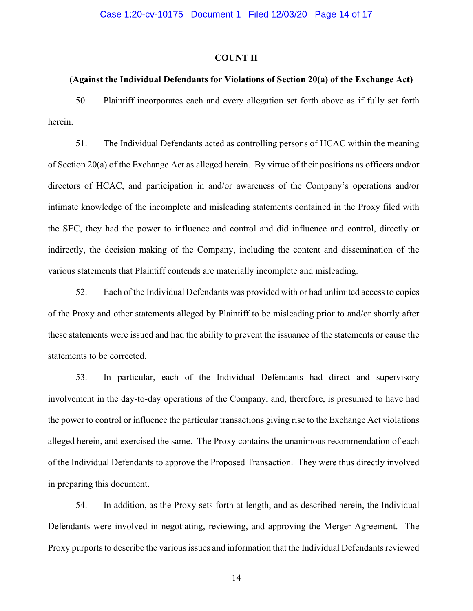#### COUNT II

### (Against the Individual Defendants for Violations of Section 20(a) of the Exchange Act)

50. Plaintiff incorporates each and every allegation set forth above as if fully set forth herein.

51. The Individual Defendants acted as controlling persons of HCAC within the meaning of Section 20(a) of the Exchange Act as alleged herein. By virtue of their positions as officers and/or directors of HCAC, and participation in and/or awareness of the Company's operations and/or intimate knowledge of the incomplete and misleading statements contained in the Proxy filed with the SEC, they had the power to influence and control and did influence and control, directly or indirectly, the decision making of the Company, including the content and dissemination of the various statements that Plaintiff contends are materially incomplete and misleading.

52. Each of the Individual Defendants was provided with or had unlimited access to copies of the Proxy and other statements alleged by Plaintiff to be misleading prior to and/or shortly after these statements were issued and had the ability to prevent the issuance of the statements or cause the statements to be corrected.

53. In particular, each of the Individual Defendants had direct and supervisory involvement in the day-to-day operations of the Company, and, therefore, is presumed to have had the power to control or influence the particular transactions giving rise to the Exchange Act violations alleged herein, and exercised the same. The Proxy contains the unanimous recommendation of each of the Individual Defendants to approve the Proposed Transaction. They were thus directly involved in preparing this document.

54. In addition, as the Proxy sets forth at length, and as described herein, the Individual Defendants were involved in negotiating, reviewing, and approving the Merger Agreement. The Proxy purports to describe the various issues and information that the Individual Defendants reviewed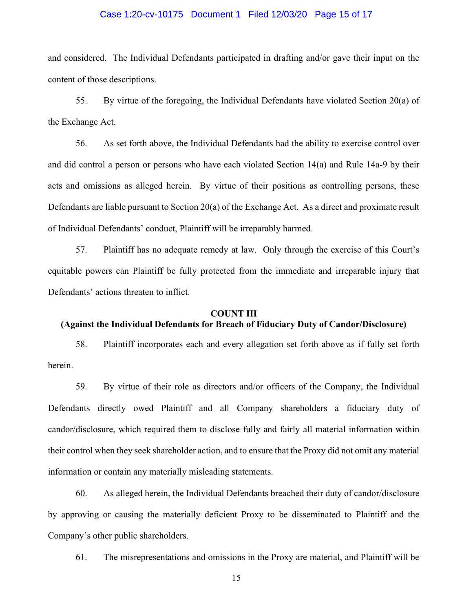### Case 1:20-cv-10175 Document 1 Filed 12/03/20 Page 15 of 17

and considered. The Individual Defendants participated in drafting and/or gave their input on the content of those descriptions.

55. By virtue of the foregoing, the Individual Defendants have violated Section 20(a) of the Exchange Act.

56. As set forth above, the Individual Defendants had the ability to exercise control over and did control a person or persons who have each violated Section 14(a) and Rule 14a-9 by their acts and omissions as alleged herein. By virtue of their positions as controlling persons, these Defendants are liable pursuant to Section 20(a) of the Exchange Act. As a direct and proximate result of Individual Defendants' conduct, Plaintiff will be irreparably harmed.

57. Plaintiff has no adequate remedy at law. Only through the exercise of this Court's equitable powers can Plaintiff be fully protected from the immediate and irreparable injury that Defendants' actions threaten to inflict.

#### COUNT III

## (Against the Individual Defendants for Breach of Fiduciary Duty of Candor/Disclosure)

58. Plaintiff incorporates each and every allegation set forth above as if fully set forth herein.

59. By virtue of their role as directors and/or officers of the Company, the Individual Defendants directly owed Plaintiff and all Company shareholders a fiduciary duty of candor/disclosure, which required them to disclose fully and fairly all material information within their control when they seek shareholder action, and to ensure that the Proxy did not omit any material information or contain any materially misleading statements.

60. As alleged herein, the Individual Defendants breached their duty of candor/disclosure by approving or causing the materially deficient Proxy to be disseminated to Plaintiff and the Company's other public shareholders.

61. The misrepresentations and omissions in the Proxy are material, and Plaintiff will be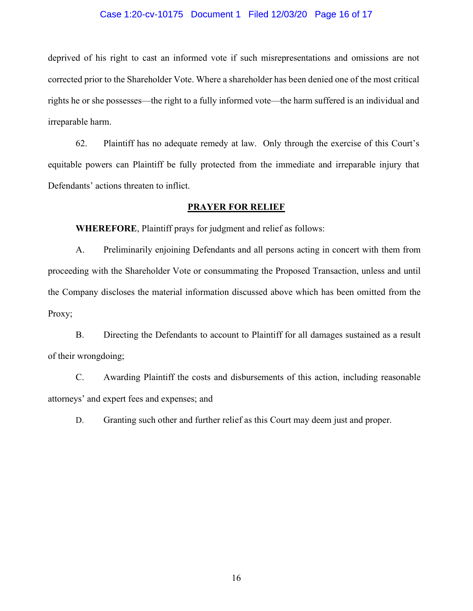### Case 1:20-cv-10175 Document 1 Filed 12/03/20 Page 16 of 17

deprived of his right to cast an informed vote if such misrepresentations and omissions are not corrected prior to the Shareholder Vote. Where a shareholder has been denied one of the most critical rights he or she possesses—the right to a fully informed vote—the harm suffered is an individual and irreparable harm.

62. Plaintiff has no adequate remedy at law. Only through the exercise of this Court's equitable powers can Plaintiff be fully protected from the immediate and irreparable injury that Defendants' actions threaten to inflict.

#### PRAYER FOR RELIEF

WHEREFORE, Plaintiff prays for judgment and relief as follows:

A. Preliminarily enjoining Defendants and all persons acting in concert with them from proceeding with the Shareholder Vote or consummating the Proposed Transaction, unless and until the Company discloses the material information discussed above which has been omitted from the Proxy;

B. Directing the Defendants to account to Plaintiff for all damages sustained as a result of their wrongdoing;

C. Awarding Plaintiff the costs and disbursements of this action, including reasonable attorneys' and expert fees and expenses; and

D. Granting such other and further relief as this Court may deem just and proper.

16